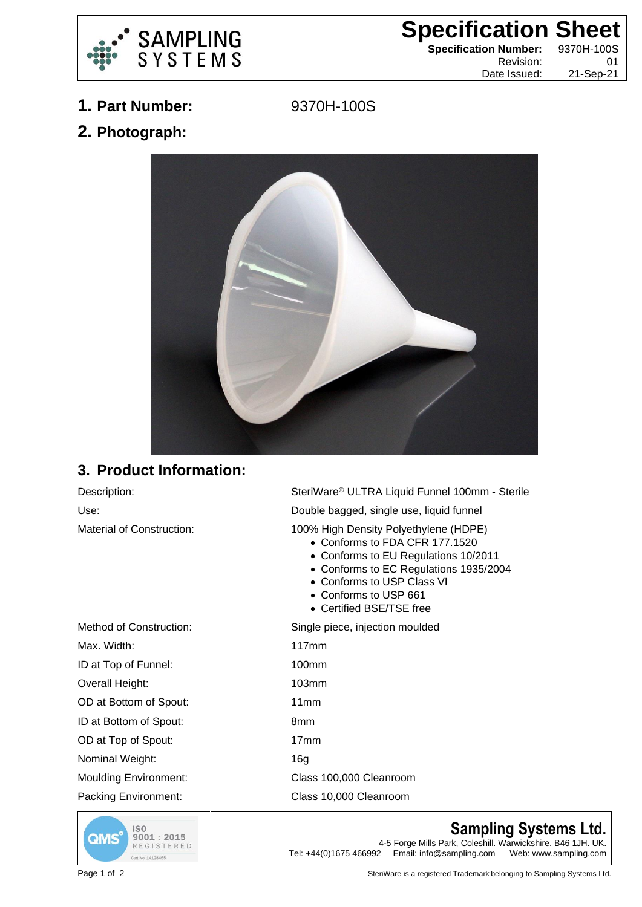

## **Specification Sheet**

**Specification Number:** 9370H-100S

Revision: 01 Date Issued: 21-Sep-21

**1. Part Number:** 9370H-100S

**2. Photograph:**



## **3. Product Information:**

Description: SteriWare® ULTRA Liquid Funnel 100mm - Sterile Use: Double bagged, single use, liquid funnel Material of Construction: 100% High Density Polyethylene (HDPE)

- Conforms to FDA CFR 177.1520
- Conforms to EU Regulations 10/2011
- Conforms to EC Regulations 1935/2004
- Conforms to USP Class VI
- Conforms to USP 661
- Certified BSE/TSE free

Method of Construction: Single piece, injection moulded Max. Width: 117mm ID at Top of Funnel: 100mm Overall Height: 103mm OD at Bottom of Spout: 11mm ID at Bottom of Spout: 8mm OD at Top of Spout: 17mm Nominal Weight: 16g Moulding Environment: Class 100,000 Cleanroom

Packing Environment: Class 10,000 Cleanroom



## **Sampling Systems Ltd.**

4-5 Forge Mills Park, Coleshill. Warwickshire. B46 1JH. UK.<br>Tel: +44(0)1675 466992 Email: info@sampling.com Web: www.sampling.com Email: info@sampling.com